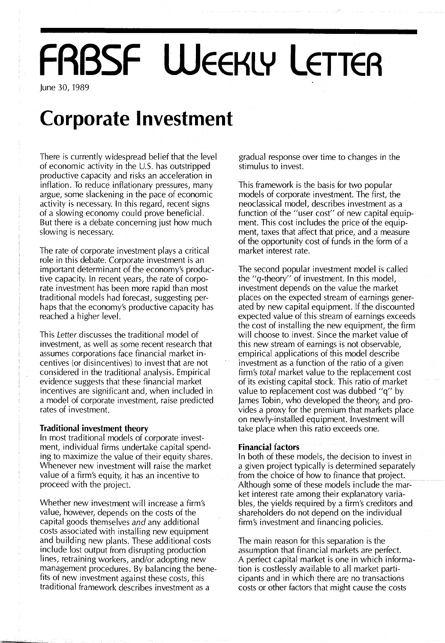# **FABSF WEEKLY LETTER**

June 30, 1989

### **Corporate Investment**

There is currently widespread belief that the level of economic activity in the U.S. has outstripped productive capacity and risks an acceleration in inflation. To reduce inflationary pressures, many argue, some slackening in the pace of economic activity is necessary. In this regard, recent signs of a slowing economy could prove beneficial. But there is a debate concerning just how much slowing is necessary.

The rate of corporate investment plays a critical role in this debate. Corporate investment is an important determinant of the economy's productive capacity. In recent years, the rate of corporate investment has been more rapid than most traditional models had forecast, suggesting perhaps that the economy's productive capacity has reached a higher level.

This *Letter* discusses the traditional model of investment, as well as some recent research that assumes corporations face financial market incentives (or disincentives) to invest that are not considered in the traditional analysis. Empirical evidence suggests that these financial market incentives are significant and, when included in a model of corporate investment, raise predicted rates of investment.

### **Traditional investment theory**

In most traditional models of corporate investment, individual firms undertake capital spending to maximize the value of their equity shares. Whenever new investment will raise the market value of a firm's equity, it has an incentive to proceed with the project.

Whether new investment will increase a firm's value, however, depends on the costs of the capital goods themselves *and* any additional costs associated with installing new equipment and building new plants. These additional costs include lost output from disrupting production lines, retraining workers, and/or adopting new management procedures. By balancing the benefits of new investment against these costs, this traditional framework describes investment as a

gradual response over time to changes in the stimulus to invest.

This framework is the basis for two popular models of corporate investment. The first, the neoclassical model, describes investment as a function of the "user cost" of new capital equipment. This cost includes the price of the equipment, taxes that affect that price, and a measure of the opportunity cost of funds in the form of a market interest rate.

The second popular investment model is called the "q-theory" of investment. In this model, investment depends on the value the market places on the expected stream of earnings generated by new capital equipment. If the discounted expected value of this stream of earnings exceeds the cost of installing the new equipment, the firm will choose to invest. Since the market value of this new stream of earnings is not observable, empirical applications of this model describe investment as a function of the ratio of a given firm's *total* market value to the replacement cost of its existing capital stock. This ratio of market value to replacement cost was dubbed "q" by James Tobin, who developed the theory, and provides a proxy for the premium that markets place on newly-installed equipment. Investment will take place when this ratio exceeds one.

### **Financial factors**

In both of these models, the decision to invest in a given project typically is determined separately from the choice of how to finance that project. Although some of these models include the mar= ket interest rate among their explanatory variables, the yields required by a firm's creditors and shareholders do not depend on the individual firm's investment and financing policies.

The main reason for this separation is the assumption that financial markets are perfect. A perfect capital market is one in which information is costlessly available to all market participants and in which there are no transactions costs or other factors that might cause the costs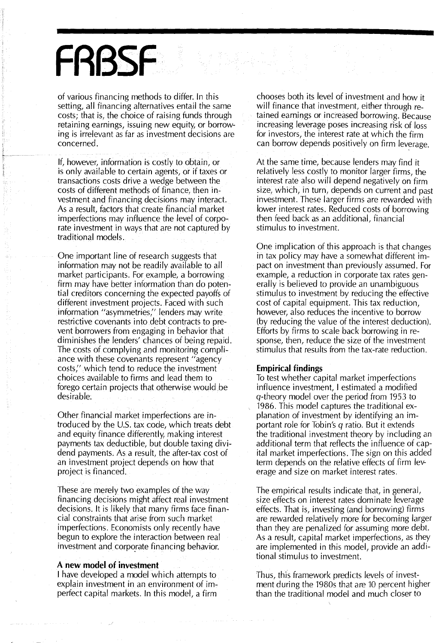## **FRBSF**

of various financing methods to differ. In this setting, all financing alternatives entail the same costs; that is, the choice of raising funds through retaining earnings, issuing new equity, or borrowing is irrelevant as far as investment decisions are concerned.

If, however, information is costly to obtain, or is only available to certain agents, or if taxes or transactions costs drive a wedge between the costs of different methods of finance, then investment and financing decisions may interact. As a result, factors that create financial market imperfections may influence the level of corporate investment in ways that are not captured by traditional models.

One important line of research suggests that information may not be readily available to all market participants. For example, a borrowing firm may have better information than do potential creditors concerning the expected payoffs of different investment projects. Faced with such information "asymmetries;' lenders may write restrictive covenants into debt contracts to prevent borrowers from engaging in behavior that diminishes the lenders' chances of being repaid. The costs of complying and monitoring compliance with these covenants represent "agency costs;' which tend to reduce the investment choices available to firms and lead them to forego certain projects that otherwise would be desirable:

Other financial market imperfections are introduced by the U.S. tax code, which treats debt and equity finance differently, making interest payments tax deductible, but double taxing divi· dend payments. As a result, the after-tax cost of an investment project depends on how that project is financed.

These are merely two examples of the way financing decisions might affect real investment decisions. It is likely that many firms face financial constraints that arise from such market imperfections. Economists only recently have begun to explore the interaction between real investment and corporate financing behavior.

### **A new model of investment**

I have developed a model which attempts to explain investment in an environment of imperfect capital markets. In this model, a firm

chooses both its level of investment and how it will finance that investment, either through retained earnings or increased borrowing. Because increasing leverage poses increasing risk of loss for investors, the interest rate at which the firm can borrow depends positively on firm leverage.

At the same time, because lenders may find it relatively less costly to monitor larger firms, the interest rate also will depend negatively on firm size, which, in turn, depends on current and past investment. These larger firms are rewarded with lower interest rates. Reduced costs of borrowing then feed back as an additional, financial stimulus to investment.

One implication of this approach is that changes in tax policy may have a somewhat different impact on investment than previously assumed. For example, a reduction in corporate tax rates generally is believed to provide an unambiguous stimulus to investment by reducing the effective cost of capital equipment. This tax reduction, however, also reduces the incentive to borrow (by reducing the value of the interest deduction). Efforts by firms to scale back borrowing in response, then, reduce the size of the investment stimulus that results from the tax-rate reduction.

### **Empirical findings**

To test whether capital market imperfections influence investment, I estimated a modified q-theory model over the period from 1953 to 1986. This model captures the traditional explanation of investment by identifying an important role for Tobin's q ratio. But it extends the traditional investment theory by including an additional term that reflects the influence of capital market imperfections. The sign on this added term depends on the relative effects of firm leverage and size on market interest rates.

The empirical results indicate that, in general, size effects on interest rates dominate leverage effects. That is, investing (and borrowing) firms are rewarded relatively more for becoming larger than they are penalized for assuming more debt. As a result, capital market imperfections, as they are implemented in this model, provide an additional stimulus to investment.

Thus, this framework predicts levels of investment during the 1980s that are 10 percent higher than the traditional model and much closer to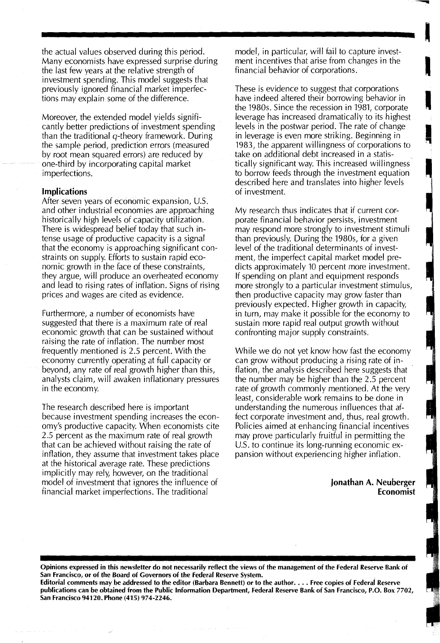the actual values observed during this period. Many economists have expressed surprise during the last few years at the relative strength of investment spending. This model suggests that previously ignored financial market imperfections may explain some of the difference.

Moreover, the extended model yields significantly better predictions of investment spending than the traditional  $q$ -theory framework. During the sample period, prediction errors (measured by root mean squared errors) are reduced by one-third by incorporating capital market imperfections.

### Implications

After seven years of economic expansion, U.S. and other industrial economies are approaching historically high levels of capacity utilization. There is widespread belief today that such intense usage of productive capacity is a signal that the economy is approaching significant constraints on supply. Efforts to sustain rapid economic growth in the face of these constraints, they argue, will produce an overheated economy and lead to rising rates of inflation. Signs of rising prices and wages are cited as evidence.

Furthermore, a number of economists have suggested that there is a maximum rate of real economic growth that can be sustained without raising the rate of inflation. The number most frequently mentioned is 2.5 percent. With the economy currently operating at full capacity or beyond, any rate of real growth higher than this, analysts claim, will awaken inflationary pressures in the economy.

The research described here is important because investment spending increases the economy's productive capacity. When economists cite 2.5 percent as the maximum rate of real growth that can be achieved without raising the rate of inflation, they assume that investment takes place at the historical average rate. These predictions implicitly may rely, however, on the traditional model of investment that ignores the influence of financial market imperfections. The traditional

model, in particular, will fail to capture invest-<br>ment incentives that arise from changes in the financial behavior of corporations.

J

These is evidence to suggest that corporations have indeed altered their borrowing behavior in the 1980s. Since the recession in 1981, corporate leverage has increased dramatically to its highest levels in the postwar period. The rate of change in leverage is even more striking. Beginning in 1983, the apparent willingness of corporations to ' take on additional debt increased in a statistically significant way. This increased willingness • to borrow feeds through the investment equation described here and translates into higher levels of investment.

My research thus indicates that if current corporate financial behavior persists, investment may respond more strongly to investment stimuli than previously. During the 1980s, for a given level of the traditional determinants of investment, the imperfect capital market model predicts approximately 10 percent more investment. If spending on plant and equipment responds more strongly to a particular investment stimulus, then productive capacity may grow faster than previously expected. Higher growth in capacity, in turn, may make it possible for the economy to sustain more rapid real output growth without confronting major supply constraints.

While we do not yet know how fast the economy can grow without producing a rising rate of inflation, the analysis described here suggests that the number may be higher than the 2.5 percent rate of growth commonly mentioned. At the very least, considerable work remains to be done in understanding the numerous influences that affect corporate investment and, thus, real growth. Policies aimed at enhancing financial incentives may prove particularly fruitful in permitting the U.S. to continue its long-running economic expansion without experiencing higher inflation.

> Jonathan A. Neuberger Economist

Opinions expressed in this newsletter do not necessarily reflect the views of the management of the Federal Reserve Bank of San Francisco, or of the Board of Governors of the Federal Reserve System.

Editorial comments may be addressed to the editor (Barbara Bennett) or to the author.... Free copies of Federal Reserve publications can be obtained from the Public Information Department, Federal Reserve Bank of San Francisco, P.O. Box 7702, San Francisco 94120. Phone (415) 974-2246.